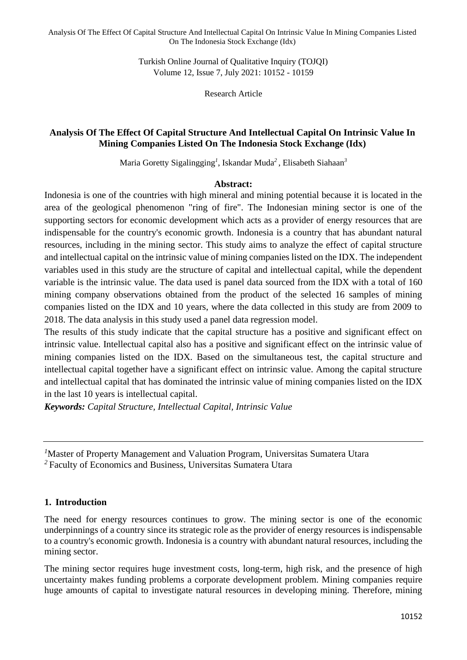Analysis Of The Effect Of Capital Structure And Intellectual Capital On Intrinsic Value In Mining Companies Listed On The Indonesia Stock Exchange (Idx)

> Turkish Online Journal of Qualitative Inquiry (TOJQI) Volume 12, Issue 7, July 2021: 10152 - 10159

> > Research Article

### **Analysis Of The Effect Of Capital Structure And Intellectual Capital On Intrinsic Value In Mining Companies Listed On The Indonesia Stock Exchange (Idx)**

Maria Goretty Sigalingging*<sup>1</sup>* , Iskandar Muda*<sup>2</sup>* , Elisabeth Siahaan*<sup>3</sup>*

#### **Abstract:**

Indonesia is one of the countries with high mineral and mining potential because it is located in the area of the geological phenomenon "ring of fire". The Indonesian mining sector is one of the supporting sectors for economic development which acts as a provider of energy resources that are indispensable for the country's economic growth. Indonesia is a country that has abundant natural resources, including in the mining sector. This study aims to analyze the effect of capital structure and intellectual capital on the intrinsic value of mining companies listed on the IDX. The independent variables used in this study are the structure of capital and intellectual capital, while the dependent variable is the intrinsic value. The data used is panel data sourced from the IDX with a total of 160 mining company observations obtained from the product of the selected 16 samples of mining companies listed on the IDX and 10 years, where the data collected in this study are from 2009 to 2018. The data analysis in this study used a panel data regression model.

The results of this study indicate that the capital structure has a positive and significant effect on intrinsic value. Intellectual capital also has a positive and significant effect on the intrinsic value of mining companies listed on the IDX. Based on the simultaneous test, the capital structure and intellectual capital together have a significant effect on intrinsic value. Among the capital structure and intellectual capital that has dominated the intrinsic value of mining companies listed on the IDX in the last 10 years is intellectual capital.

*Keywords: Capital Structure, Intellectual Capital, Intrinsic Value*

#### **1. Introduction**

The need for energy resources continues to grow. The mining sector is one of the economic underpinnings of a country since its strategic role as the provider of energy resources is indispensable to a country's economic growth. Indonesia is a country with abundant natural resources, including the mining sector.

The mining sector requires huge investment costs, long-term, high risk, and the presence of high uncertainty makes funding problems a corporate development problem. Mining companies require huge amounts of capital to investigate natural resources in developing mining. Therefore, mining

*<sup>1</sup>*Master of Property Management and Valuation Program, Universitas Sumatera Utara

*<sup>2</sup>*Faculty of Economics and Business, Universitas Sumatera Utara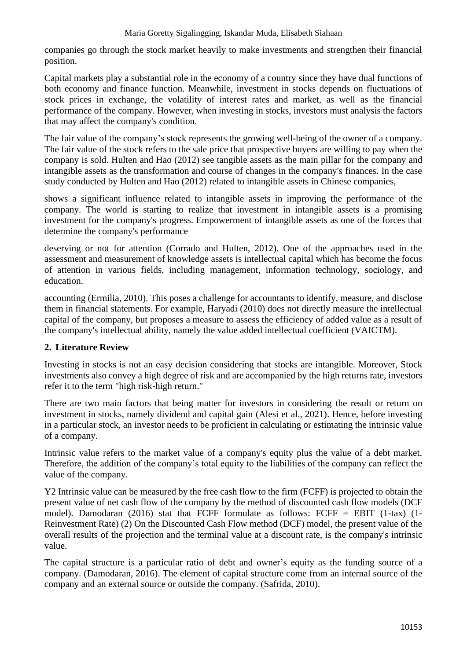#### Maria Goretty Sigalingging, Iskandar Muda, Elisabeth Siahaan

companies go through the stock market heavily to make investments and strengthen their financial position.

Capital markets play a substantial role in the economy of a country since they have dual functions of both economy and finance function. Meanwhile, investment in stocks depends on fluctuations of stock prices in exchange, the volatility of interest rates and market, as well as the financial performance of the company. However, when investing in stocks, investors must analysis the factors that may affect the company's condition.

The fair value of the company's stock represents the growing well-being of the owner of a company. The fair value of the stock refers to the sale price that prospective buyers are willing to pay when the company is sold. Hulten and Hao (2012) see tangible assets as the main pillar for the company and intangible assets as the transformation and course of changes in the company's finances. In the case study conducted by Hulten and Hao (2012) related to intangible assets in Chinese companies,

shows a significant influence related to intangible assets in improving the performance of the company. The world is starting to realize that investment in intangible assets is a promising investment for the company's progress. Empowerment of intangible assets as one of the forces that determine the company's performance

deserving or not for attention (Corrado and Hulten, 2012). One of the approaches used in the assessment and measurement of knowledge assets is intellectual capital which has become the focus of attention in various fields, including management, information technology, sociology, and education.

accounting (Ermilia, 2010). This poses a challenge for accountants to identify, measure, and disclose them in financial statements. For example, Haryadi (2010) does not directly measure the intellectual capital of the company, but proposes a measure to assess the efficiency of added value as a result of the company's intellectual ability, namely the value added intellectual coefficient (VAICTM).

### **2. Literature Review**

Investing in stocks is not an easy decision considering that stocks are intangible. Moreover, Stock investments also convey a high degree of risk and are accompanied by the high returns rate, investors refer it to the term "high risk-high return."

There are two main factors that being matter for investors in considering the result or return on investment in stocks, namely dividend and capital gain (Alesi et al., 2021). Hence, before investing in a particular stock, an investor needs to be proficient in calculating or estimating the intrinsic value of a company.

Intrinsic value refers to the market value of a company's equity plus the value of a debt market. Therefore, the addition of the company's total equity to the liabilities of the company can reflect the value of the company.

Y2 Intrinsic value can be measured by the free cash flow to the firm (FCFF) is projected to obtain the present value of net cash flow of the company by the method of discounted cash flow models (DCF model). Damodaran (2016) stat that FCFF formulate as follows: FCFF = EBIT  $(1-tax)$  (1-Reinvestment Rate) (2) On the Discounted Cash Flow method (DCF) model, the present value of the overall results of the projection and the terminal value at a discount rate, is the company's intrinsic value.

The capital structure is a particular ratio of debt and owner's equity as the funding source of a company. (Damodaran, 2016). The element of capital structure come from an internal source of the company and an external source or outside the company. (Safrida, 2010).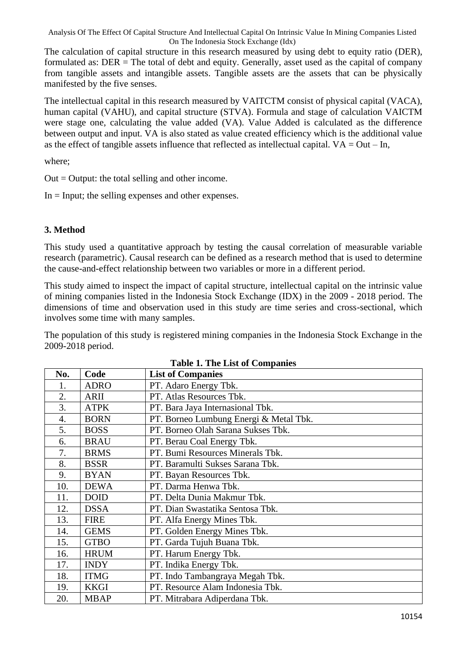Analysis Of The Effect Of Capital Structure And Intellectual Capital On Intrinsic Value In Mining Companies Listed On The Indonesia Stock Exchange (Idx)

The calculation of capital structure in this research measured by using debt to equity ratio (DER), formulated as: DER = The total of debt and equity. Generally, asset used as the capital of company from tangible assets and intangible assets. Tangible assets are the assets that can be physically manifested by the five senses.

The intellectual capital in this research measured by VAITCTM consist of physical capital (VACA), human capital (VAHU), and capital structure (STVA). Formula and stage of calculation VAICTM were stage one, calculating the value added (VA). Value Added is calculated as the difference between output and input. VA is also stated as value created efficiency which is the additional value as the effect of tangible assets influence that reflected as intellectual capital.  $VA = Out - In$ ,

where;

 $Out = Output$ : the total selling and other income.

 $In = Input$ ; the selling expenses and other expenses.

#### **3. Method**

This study used a quantitative approach by testing the causal correlation of measurable variable research (parametric). Causal research can be defined as a research method that is used to determine the cause-and-effect relationship between two variables or more in a different period.

This study aimed to inspect the impact of capital structure, intellectual capital on the intrinsic value of mining companies listed in the Indonesia Stock Exchange (IDX) in the 2009 - 2018 period. The dimensions of time and observation used in this study are time series and cross-sectional, which involves some time with many samples.

The population of this study is registered mining companies in the Indonesia Stock Exchange in the 2009-2018 period.

| No.              | Code        | <b>List of Companies</b>               |
|------------------|-------------|----------------------------------------|
| 1.               | <b>ADRO</b> | PT. Adaro Energy Tbk.                  |
| 2.               | <b>ARII</b> | PT. Atlas Resources Tbk.               |
| 3.               | <b>ATPK</b> | PT. Bara Jaya Internasional Tbk.       |
| $\overline{4}$ . | <b>BORN</b> | PT. Borneo Lumbung Energi & Metal Tbk. |
| 5.               | <b>BOSS</b> | PT. Borneo Olah Sarana Sukses Tbk.     |
| 6.               | <b>BRAU</b> | PT. Berau Coal Energy Tbk.             |
| 7.               | <b>BRMS</b> | PT. Bumi Resources Minerals Tbk.       |
| 8.               | <b>BSSR</b> | PT. Baramulti Sukses Sarana Tbk.       |
| 9.               | <b>BYAN</b> | PT. Bayan Resources Tbk.               |
| 10.              | <b>DEWA</b> | PT. Darma Henwa Tbk.                   |
| 11.              | <b>DOID</b> | PT. Delta Dunia Makmur Tbk.            |
| 12.              | <b>DSSA</b> | PT. Dian Swastatika Sentosa Tbk.       |
| 13.              | <b>FIRE</b> | PT. Alfa Energy Mines Tbk.             |
| 14.              | <b>GEMS</b> | PT. Golden Energy Mines Tbk.           |
| 15.              | <b>GTBO</b> | PT. Garda Tujuh Buana Tbk.             |
| 16.              | <b>HRUM</b> | PT. Harum Energy Tbk.                  |
| 17.              | <b>INDY</b> | PT. Indika Energy Tbk.                 |
| 18.              | <b>ITMG</b> | PT. Indo Tambangraya Megah Tbk.        |
| 19.              | <b>KKGI</b> | PT. Resource Alam Indonesia Tbk.       |
| 20.              | <b>MBAP</b> | PT. Mitrabara Adiperdana Tbk.          |

|  |  | <b>Table 1. The List of Companies</b> |
|--|--|---------------------------------------|
|--|--|---------------------------------------|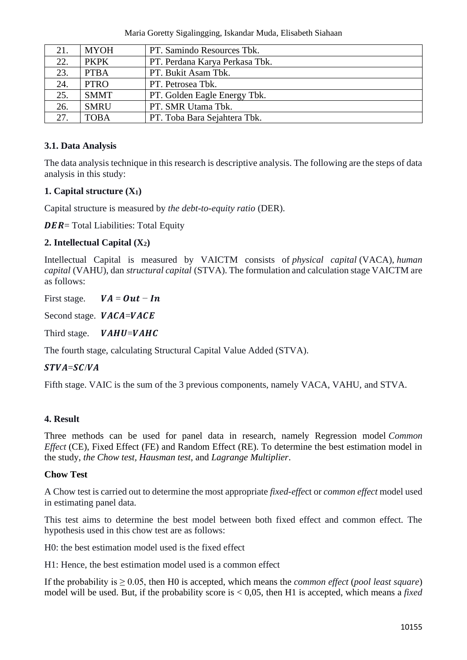Maria Goretty Sigalingging, Iskandar Muda, Elisabeth Siahaan

| 21. | <b>MYOH</b> | PT. Samindo Resources Tbk.     |
|-----|-------------|--------------------------------|
| 22. | <b>PKPK</b> | PT. Perdana Karya Perkasa Tbk. |
| 23. | <b>PTBA</b> | PT. Bukit Asam Tbk.            |
| 24. | <b>PTRO</b> | PT. Petrosea Tbk.              |
| 25. | <b>SMMT</b> | PT. Golden Eagle Energy Tbk.   |
| 26. | <b>SMRU</b> | PT. SMR Utama Tbk.             |
| 27. | <b>TOBA</b> | PT. Toba Bara Sejahtera Tbk.   |

# **3.1. Data Analysis**

The data analysis technique in this research is descriptive analysis. The following are the steps of data analysis in this study:

## **1. Capital structure (X1)**

Capital structure is measured by *the debt-to-equity ratio* (DER).

 $DER = Total Liabilities: Total Equity$ 

## **2. Intellectual Capital (X2)**

Intellectual Capital is measured by VAICTM consists of *physical capital* (VACA), *human capital* (VAHU), dan *structural capital* (STVA). The formulation and calculation stage VAICTM are as follows:

First stage.  $VA = Out - In$ 

Second stage.  $VACA=VACE$ 

Third stage.  $VAHU=VAHC$ 

The fourth stage, calculating Structural Capital Value Added (STVA).

### $STVA = SC/VA$

Fifth stage. VAIC is the sum of the 3 previous components, namely VACA, VAHU, and STVA.

### **4. Result**

Three methods can be used for panel data in research, namely Regression model *Common Effect* (CE), Fixed Effect (FE) and Random Effect (RE). To determine the best estimation model in the study, *the Chow test, Hausman test*, and *Lagrange Multiplier*.

### **Chow Test**

A Chow test is carried out to determine the most appropriate *fixed-effe*ct or *common effect* model used in estimating panel data.

This test aims to determine the best model between both fixed effect and common effect. The hypothesis used in this chow test are as follows:

H0: the best estimation model used is the fixed effect

H1: Hence, the best estimation model used is a common effect

If the probability is  $\geq 0.05$ , then H0 is accepted, which means the *common effect* (*pool least square*) model will be used. But, if the probability score is < 0,05, then H1 is accepted, which means a *fixed*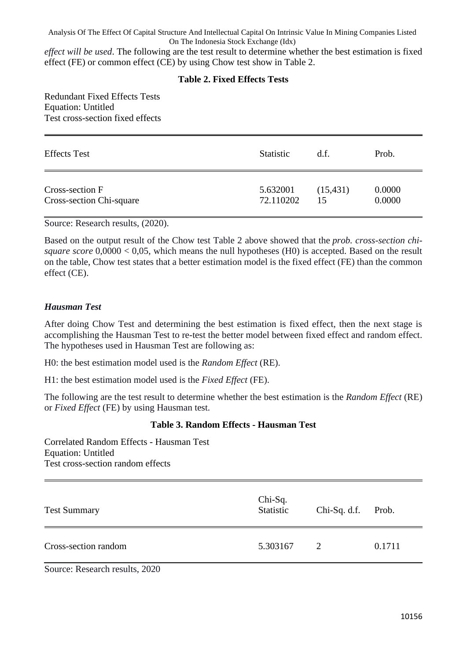Analysis Of The Effect Of Capital Structure And Intellectual Capital On Intrinsic Value In Mining Companies Listed On The Indonesia Stock Exchange (Idx)

*effect will be used*. The following are the test result to determine whether the best estimation is fixed effect (FE) or common effect (CE) by using Chow test show in Table 2.

#### **Table 2. Fixed Effects Tests**

Redundant Fixed Effects Tests Equation: Untitled Test cross-section fixed effects

| <b>Effects Test</b>      | <b>Statistic</b> | d.f.      | Prob.  |
|--------------------------|------------------|-----------|--------|
| Cross-section F          | 5.632001         | (15, 431) | 0.0000 |
| Cross-section Chi-square | 72.110202        | 15        | 0.0000 |

Source: Research results, (2020).

Based on the output result of the Chow test Table 2 above showed that the *prob. cross-section chisquare score*  $0,0000 < 0,05$ , which means the null hypotheses (H0) is accepted. Based on the result on the table, Chow test states that a better estimation model is the fixed effect (FE) than the common effect (CE).

#### *Hausman Test*

After doing Chow Test and determining the best estimation is fixed effect, then the next stage is accomplishing the Hausman Test to re-test the better model between fixed effect and random effect. The hypotheses used in Hausman Test are following as:

H0: the best estimation model used is the *Random Effect* (RE).

H1: the best estimation model used is the *Fixed Effect* (FE).

The following are the test result to determine whether the best estimation is the *Random Effect* (RE) or *Fixed Effect* (FE) by using Hausman test.

#### **Table 3. Random Effects - Hausman Test**

Correlated Random Effects - Hausman Test Equation: Untitled Test cross-section random effects

| <b>Test Summary</b>  | $Chi-Sq.$<br>Statistic | Chi-Sq. d.f. Prob. |        |
|----------------------|------------------------|--------------------|--------|
| Cross-section random | 5.303167               | 2                  | 0.1711 |

Source: Research results, 2020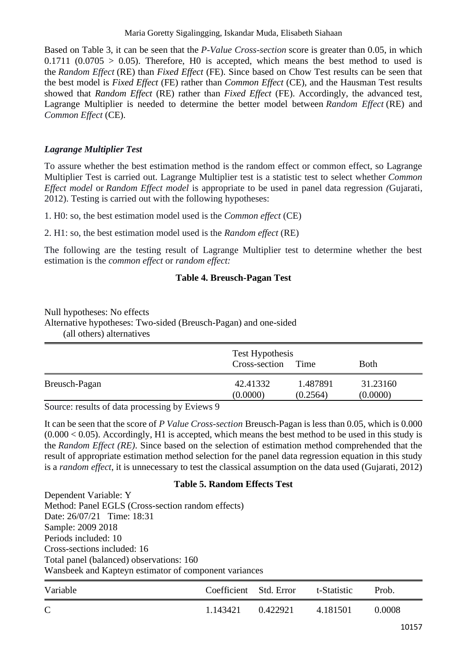Based on Table 3, it can be seen that the *P-Value Cross-section* score is greater than 0.05, in which  $0.1711$   $(0.0705 > 0.05)$ . Therefore, H0 is accepted, which means the best method to used is the *Random Effect* (RE) than *Fixed Effect* (FE). Since based on Chow Test results can be seen that the best model is *Fixed Effect* (FE) rather than *Common Effect* (CE), and the Hausman Test results showed that *Random Effect* (RE) rather than *Fixed Effect* (FE). Accordingly, the advanced test, Lagrange Multiplier is needed to determine the better model between *Random Effect* (RE) and *Common Effect* (CE).

## *Lagrange Multiplier Test*

To assure whether the best estimation method is the random effect or common effect, so Lagrange Multiplier Test is carried out. Lagrange Multiplier test is a statistic test to select whether *Common Effect model* or *Random Effect model* is appropriate to be used in panel data regression *(*Gujarati, 2012). Testing is carried out with the following hypotheses:

1. H0: so, the best estimation model used is the *Common effect* (CE)

2. H1: so, the best estimation model used is the *Random effect* (RE)

The following are the testing result of Lagrange Multiplier test to determine whether the best estimation is the *common effect* or *random effect:*

## **Table 4. Breusch-Pagan Test**

Null hypotheses: No effects

Alternative hypotheses: Two-sided (Breusch-Pagan) and one-sided

(all others) alternatives

|               | Test Hypothesis<br>Cross-section<br>Time |          | <b>Both</b> |
|---------------|------------------------------------------|----------|-------------|
| Breusch-Pagan | 42.41332                                 | 1.487891 | 31.23160    |
|               | (0.0000)                                 | (0.2564) | (0.0000)    |

Source: results of data processing by Eviews 9

It can be seen that the score of *P Value Cross-section* Breusch-Pagan is less than 0.05, which is 0.000  $(0.000 < 0.05)$ . Accordingly, H1 is accepted, which means the best method to be used in this study is the *Random Effect (RE)*. Since based on the selection of estimation method comprehended that the result of appropriate estimation method selection for the panel data regression equation in this study is a *random effect*, it is unnecessary to test the classical assumption on the data used (Gujarati, 2012)

### **Table 5. Random Effects Test**

Dependent Variable: Y Method: Panel EGLS (Cross-section random effects) Date: 26/07/21 Time: 18:31 Sample: 2009 2018 Periods included: 10 Cross-sections included: 16 Total panel (balanced) observations: 160 Wansbeek and Kapteyn estimator of component variances

| Variable      | Coefficient Std. Error |          | t-Statistic | Prob.  |
|---------------|------------------------|----------|-------------|--------|
| $\mathcal{C}$ | 1.143421               | 0.422921 | 4.181501    | 0.0008 |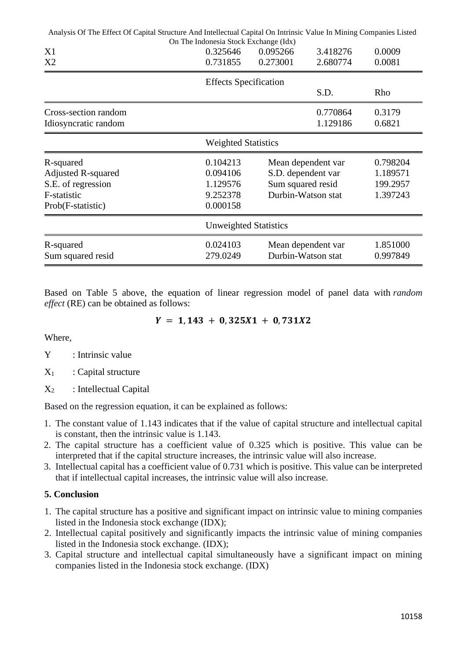| Analysis Of The Effect Of Capital Structure And Intellectual Capital On Intrinsic Value In Mining Companies Listed |                                                               |                                                                                                                         |                      |                      |
|--------------------------------------------------------------------------------------------------------------------|---------------------------------------------------------------|-------------------------------------------------------------------------------------------------------------------------|----------------------|----------------------|
| X1<br>X2                                                                                                           | On The Indonesia Stock Exchange (Idx)<br>0.325646<br>0.731855 | 0.095266<br>0.273001                                                                                                    | 3.418276<br>2.680774 | 0.0009<br>0.0081     |
|                                                                                                                    | <b>Effects Specification</b>                                  |                                                                                                                         | S.D.                 | Rho                  |
| Cross-section random<br>Idiosyncratic random                                                                       |                                                               |                                                                                                                         | 0.770864<br>1.129186 | 0.3179<br>0.6821     |
|                                                                                                                    | <b>Weighted Statistics</b>                                    |                                                                                                                         |                      |                      |
| R-squared<br><b>Adjusted R-squared</b><br>S.E. of regression<br>F-statistic<br>Prob(F-statistic)                   | 0.104213<br>0.094106<br>1.129576<br>9.252378<br>0.000158      | Mean dependent var<br>S.D. dependent var<br>1.189571<br>Sum squared resid<br>199.2957<br>Durbin-Watson stat<br>1.397243 |                      | 0.798204             |
|                                                                                                                    | <b>Unweighted Statistics</b>                                  |                                                                                                                         |                      |                      |
| R-squared<br>Sum squared resid                                                                                     | 0.024103<br>279.0249                                          | Durbin-Watson stat                                                                                                      | Mean dependent var   | 1.851000<br>0.997849 |

Based on Table 5 above, the equation of linear regression model of panel data with *random effect* (RE) can be obtained as follows:

$$
Y = 1,143 + 0,325X1 + 0,731X2
$$

Where,

- Y : Intrinsic value
- $X_1$  : Capital structure
- $X_2$ : Intellectual Capital

Based on the regression equation, it can be explained as follows:

- 1. The constant value of 1.143 indicates that if the value of capital structure and intellectual capital is constant, then the intrinsic value is 1.143.
- 2. The capital structure has a coefficient value of 0.325 which is positive. This value can be interpreted that if the capital structure increases, the intrinsic value will also increase.
- 3. Intellectual capital has a coefficient value of 0.731 which is positive. This value can be interpreted that if intellectual capital increases, the intrinsic value will also increase.

### **5. Conclusion**

- 1. The capital structure has a positive and significant impact on intrinsic value to mining companies listed in the Indonesia stock exchange (IDX);
- 2. Intellectual capital positively and significantly impacts the intrinsic value of mining companies listed in the Indonesia stock exchange. (IDX);
- 3. Capital structure and intellectual capital simultaneously have a significant impact on mining companies listed in the Indonesia stock exchange. (IDX)